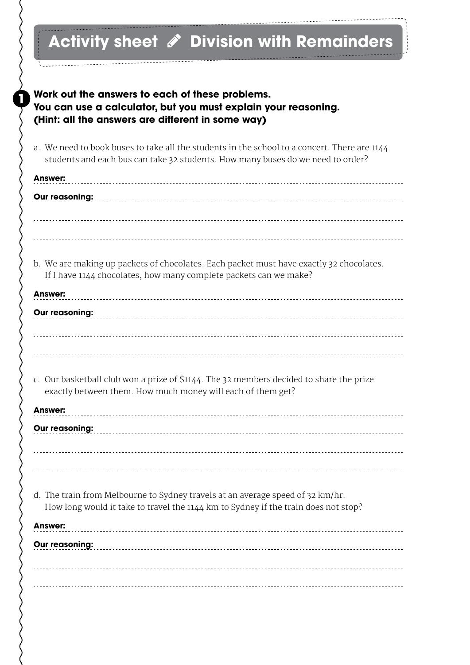## Activity sheet *i* Division with Remainders

**Work out the answers to each of these problems.** 

**1**

| You can use a calculator, but you must explain your reasoning.<br>(Hint: all the answers are different in some way)                                                             |
|---------------------------------------------------------------------------------------------------------------------------------------------------------------------------------|
| a. We need to book buses to take all the students in the school to a concert. There are 1144<br>students and each bus can take 32 students. How many buses do we need to order? |
| <b>Answer:</b>                                                                                                                                                                  |
| Our reasoning:                                                                                                                                                                  |
|                                                                                                                                                                                 |
| b. We are making up packets of chocolates. Each packet must have exactly 32 chocolates.<br>If I have 1144 chocolates, how many complete packets can we make?                    |
| <b>Answer:</b>                                                                                                                                                                  |
| Our reasoning:                                                                                                                                                                  |
|                                                                                                                                                                                 |
| c. Our basketball club won a prize of \$1144. The 32 members decided to share the prize<br>exactly between them. How much money will each of them get?                          |
| <b>Answer:</b>                                                                                                                                                                  |
| <b>Our reasoning:</b>                                                                                                                                                           |
|                                                                                                                                                                                 |
|                                                                                                                                                                                 |
| d. The train from Melbourne to Sydney travels at an average speed of 32 km/hr.<br>How long would it take to travel the 1144 km to Sydney if the train does not stop?            |
| Answer:                                                                                                                                                                         |
| Our reasoning:                                                                                                                                                                  |
|                                                                                                                                                                                 |
|                                                                                                                                                                                 |